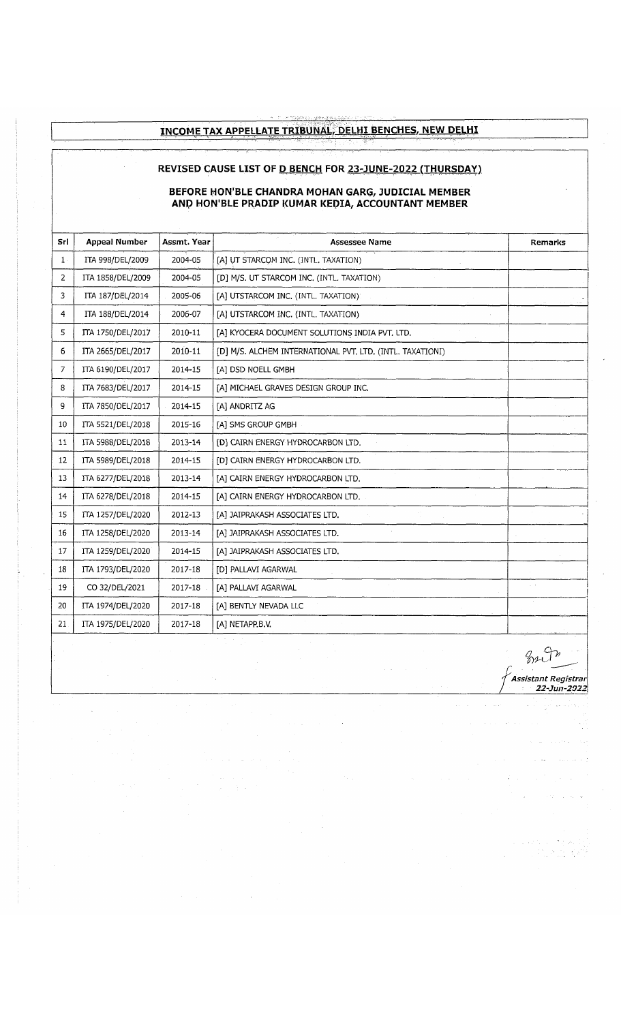## **INCOME TAX APPELLATE TRIBUNAL, DELHI BENCHES, NEW DELHI**

## **REVISED CAUSE LIST OF <u>D BENCH</u> FOR 23-JUNE-2022 (THURSDAY)**

## **BEFORE HON'BLE CHANDRA MOHAN GARG, JUDICIAL MEMBER ANP HON'BLE PRADIP KUMAR KEPIA, ACCOUNTANT MEMBER**

| Sri   | <b>Appeal Number</b> | Assmt. Year | <b>Assessee Name</b>                                      | <b>Remarks</b> |
|-------|----------------------|-------------|-----------------------------------------------------------|----------------|
| $1$ . | ITA 998/DEL/2009     | 2004-05     | [A] UT STARCOM INC. (INTL. TAXATION)                      |                |
| 2     | ITA 1858/DEL/2009    | 2004-05     | [D] M/S. UT STARCOM INC. (INTL. TAXATION)                 |                |
| 3     | ITA 187/DEL/2014     | 2005-06     | [A] UTSTARCOM INC. (INTL. TAXATION):                      |                |
| 4     | ITA 188/DEL/2014     | 2006-07     | [A] UTSTARCOM INC. (INTL. TAXATION)                       |                |
| 5     | ITA 1750/DEL/2017    | 2010-11     | [A] KYOCERA DOCUMENT SOLUTIONS INDIA PVT. LTD.            |                |
| 6     | ITA 2665/DEL/2017    | 2010-11     | [D] M/S. ALCHEM INTERNATIONAL PVT. LTD. (INTL. TAXATIONI) |                |
| 7     | ITA 6190/DEL/2017    | 2014-15     | [A] DSD NOELL GMBH                                        |                |
| 8     | ITA 7683/DEL/2017    | 2014-15     | [A] MICHAEL GRAVES DESIGN GROUP INC.                      |                |
| 9     | ITA 7850/DEL/2017    | 2014-15     | [A] ANDRITZ AG                                            |                |
| 10    | ITA 5521/DEL/2018    | 2015-16     | [A] SMS GROUP GMBH                                        |                |
| 11    | ITA 5988/DEL/2018    | 2013-14     | [D] CAIRN ENERGY HYDROCARBON LTD.                         |                |
| 12    | ITA 5989/DEL/2018    | 2014-15     | [D] CAIRN ENERGY HYDROCARBON LTD.                         |                |
| 13    | ITA 6277/DEL/2018    | 2013-14     | [A] CAIRN ENERGY HYDROCARBON LTD.                         |                |
| 14    | ITA 6278/DEL/2018    | 2014-15     | [A] CAIRN ENERGY HYDROCARBON LTD.                         |                |
| 15    | ITA 1257/DEL/2020    | 2012-13     | [A] JAIPRAKASH ASSOCIATES LTD.                            |                |
| 16    | ITA 1258/DEL/2020    | 2013-14     | [A] JAIPRAKASH ASSOCIATES LTD.                            |                |
| 17    | ITA 1259/DEL/2020    | 2014-15     | [A] JAIPRAKASH ASSOCIATES LTD.                            |                |
| 18    | ITA 1793/DEL/2020    | 2017-18     | <b>[D] PALLAVI AGARWAL</b>                                |                |
| 19    | CO 32/DEL/2021       | 2017-18     | [A] PALLAVI AGARWAL                                       |                |
| 20    | ITA 1974/DEL/2020    | 2017-18     | [A] BENTLY NEVADA LLC                                     |                |
| 21    | ITA 1975/DEL/2020    | 2017-18     | [A] NETAPP.B.V.                                           |                |

 $\bar{\mathbf{v}}$ 

B2 In **/**y *Assistant Registrar j 22-Jun-2022*

 $\label{eq:2} \begin{split} \mathcal{F}^{(1)}_{\text{max}} & = \mathcal{F}^{(1)}_{\text{max}} \left( \mathcal{F}^{(1)}_{\text{max}} \right) \mathcal{F}^{(1)}_{\text{max}} \\ & = \frac{1}{2} \sum_{\substack{\mathcal{F}^{(1)}_{\text{max}} \leq \mathcal{F}^{(1)}_{\text{max}} \\ \mathcal{F}^{(2)}_{\text{max}} \leq \mathcal{F}^{(1)}_{\text{max}}} \mathcal{F}^{(1)}_{\text{max}} \mathcal{F}^{(2)}_{\text{max}} \end{split}$ 

 $\bar{\bar{\bar{\tau}}}$ 

 $\hat{a}$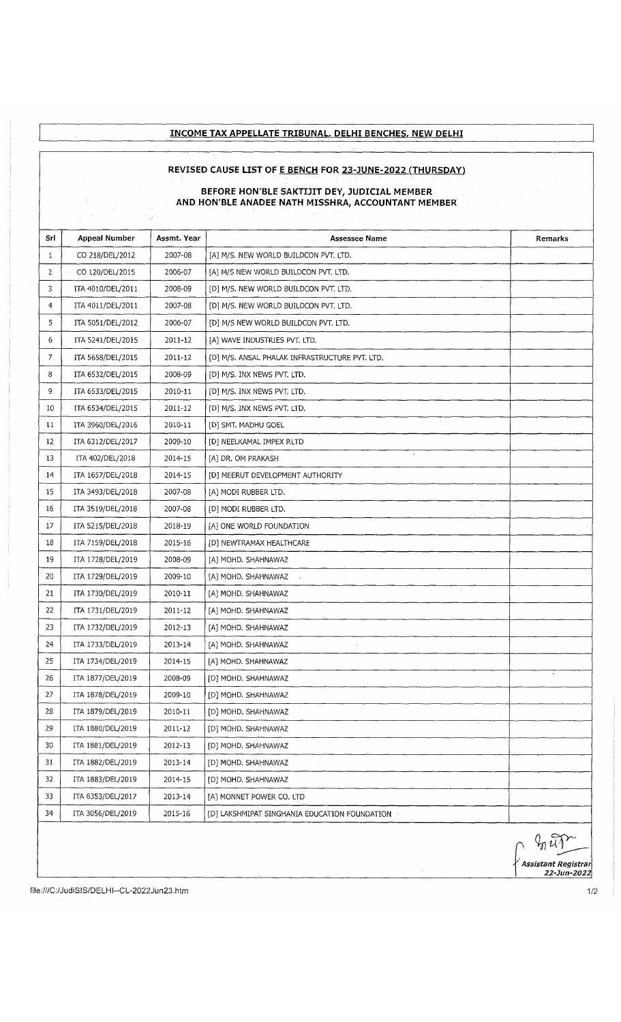## **INCOME TAX APPELLATE TRIBUNAL, DELHI BENCHES, NEW DELHI**

#### **REVISED CAUSE LIST OF E BENCH FOR 23-JUNE-2022 (THURSDAY)**

#### **BEFORE HON'BLE SAKTDIT DEY, JUDICIAL MEMBER AND HON'BLE ANADEE NATH MISSHRA, ACCOUNTANT MEMBER**

| Srl            | <b>Appeal Number</b> | Assmt. Year | <b>Assessee Name</b>                           | Remarks |
|----------------|----------------------|-------------|------------------------------------------------|---------|
| $\mathbf{1}$   | CO 218/DEL/2012      | 2007-08     | [A] M/S. NEW WORLD BUILDCON PVT. LTD.          |         |
| $\overline{2}$ | CO 120/DEL/2015      | 2006-07     | [A] M/S NEW WORLD BUILDCON PVT. LTD.           |         |
| 3              | ITA 4010/DEL/2011    | 2008-09     | [D] M/S. NEW WORLD BUILDCON PVT. LTD.          |         |
| $\mathbf 4$    | ITA 4011/DEL/2011    | 2007-08     | [D] M/S. NEW WORLD BUILDCON PVT. LTD.          |         |
| 5              | ITA 5051/DEL/2012    | 2006-07     | [D] M/S NEW WORLD BUILDCON PVT. LTD.           |         |
| 6              | ITA 5241/DEL/2015    | 2011-12     | [A] WAVE INDUSTRIES PVT. LTD.                  |         |
| 7              | ITA 5658/DEL/2015    | 2011-12     | [D] M/S. ANSAL PHALAK INFRASTRUCTURE PVT. LTD. |         |
| 8              | ITA 6532/DEL/2015    | 2008-09     | [D] M/S. INX NEWS PVT. LTD.                    |         |
| 9              | ITA 6533/DEL/2015    | 2010-11     | [D] M/S. INX NEWS PVT. LTD.                    |         |
| 10             | ITA 6534/DEL/2015    | 2011-12     | [D] M/S. INX NEWS PVT. LTD.                    |         |
| 11             | ITA 3960/DEL/2016    | 2010-11     | [D] SMT. MADHU GOEL                            |         |
| 12             | ITA 6312/DEL/2017    | 2009-10     | [D] NEELKAMAL IMPEX P.LTD                      |         |
| 13             | ITA 402/DEL/2018     | 2014-15     | [A] DR. OM PRAKASH                             |         |
| 14             | ITA 1657/DEL/2018    | 2014-15     | [D] MEERUT DEVELOPMENT AUTHORITY               |         |
| 15             | ITA 3493/DEL/2018    | 2007-08     | [A] MODI RUBBER LTD.                           |         |
| 16             | ITA 3519/DEL/2018    | 2007-08     | [D] MODI RUBBER LTD.                           |         |
| 17             | ITA 5215/DEL/2018    | 2018-19     | [A] ONE WORLD FOUNDATION                       |         |
| 18             | ITA 7159/DEL/2018    | 2015-16     | [D] NEWTRAMAX HEALTHCARE                       |         |
| 19             | ITA 1728/DEL/2019    | 2008-09     | [A] MOHD. SHAHNAWAZ                            |         |
| 20             | ITA 1729/DEL/2019    | 2009-10     | [A] MOHD. SHAHNAWAZ                            |         |
| 21             | ITA 1730/DEL/2019    | 2010-11     | [A] MOHD. SHAHNAWAZ                            |         |
| 22             | ITA 1731/DEL/2019    | 2011-12     | [A] MOHD. SHAHNAWAZ                            |         |
| 23             | ITA 1732/DEL/2019    | 2012-13     | [A] MOHD. SHAHNAWAZ                            |         |
| 24             | ITA 1733/DEL/2019    | 2013-14     | [A] MOHD. SHAHNAWAZ                            |         |
| 25             | ITA 1734/DEL/2019    | 2014-15     | [A] MOHD. SHAHNAWAZ                            |         |
| 26             | ITA 1877/DEL/2019    | 2008-09     | [D] MOHD. SHAHNAWAZ                            |         |
| 27             | ITA 1878/DEL/2019    | 2009-10     | [D] MOHD. SHAHNAWAZ                            |         |
| 28             | ITA 1879/DEL/2019    | 2010-11     | [D] MOHD. SHAHNAWAZ                            |         |
| 29             | ITA 1880/DEL/2019    | 2011-12     | [D] MOHD. SHAHNAWAZ                            |         |
| 30             | ITA 1881/DEL/2019    | 2012-13     | [D] MOHD. SHAHNAWAZ                            |         |
| 31.            | ITA 1882/DEL/2019    | 2013-14     | [D] MOHD. SHAHNAWAZ                            |         |
| 32             | ITA 1883/DEL/2019    | 2014-15     | [D] MOHD. SHAHNAWAZ                            |         |
| 33             | ITA 6353/DEL/2017    | 2013-14     | [A] MONNET POWER CO. LTD                       |         |
| 34             | ITA 3056/DEL/2019    | 2015-16     | [D] LAKSHMIPAT SINGHANIA EDUCATION FOUNDATION  |         |
|                |                      |             |                                                |         |

*/ Assistant Registrar 22-Jun-2022*

<file:///C:/JudiSIS/DELH>l--CL-2022Jun23.htm 1/2